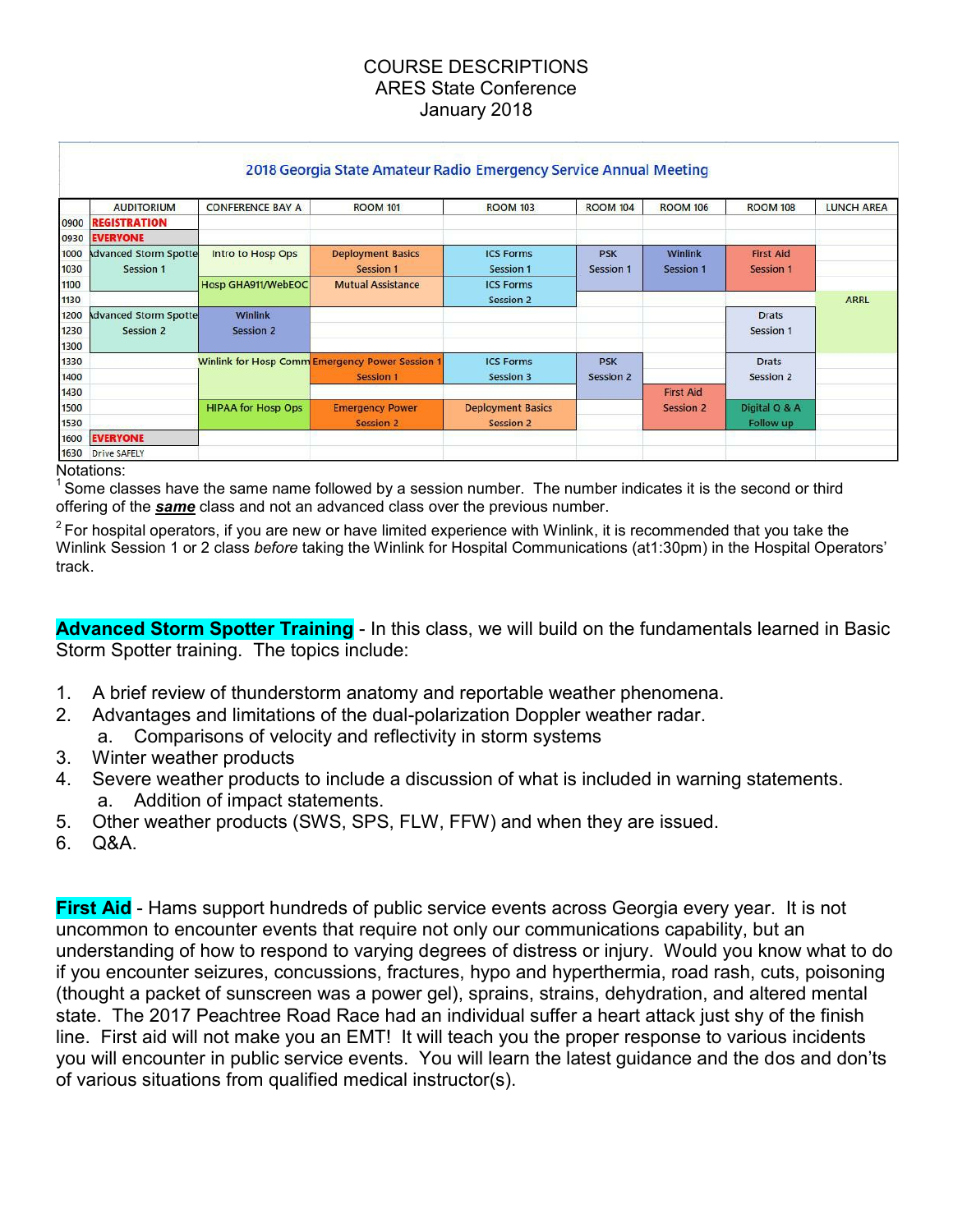## COURSE DESCRIPTIONS ARES State Conference January 2018

|              |                                           |                           | 2018 Georgia State Amateur Radio Emergency Service Annual Meeting |                               |                                |                             |                                      |                   |
|--------------|-------------------------------------------|---------------------------|-------------------------------------------------------------------|-------------------------------|--------------------------------|-----------------------------|--------------------------------------|-------------------|
|              | <b>AUDITORIUM</b>                         | <b>CONFERENCE BAY A</b>   | <b>ROOM 101</b>                                                   | <b>ROOM 103</b>               | <b>ROOM 104</b>                | <b>ROOM 106</b>             | <b>ROOM 108</b>                      | <b>LUNCH AREA</b> |
| 0900         | <b>REGISTRATION</b>                       |                           |                                                                   |                               |                                |                             |                                      |                   |
| 0930         | <b>EVERYONE</b>                           |                           |                                                                   |                               |                                |                             |                                      |                   |
| 1000<br>1030 | <b>Advanced Storm Spotte</b><br>Session 1 | Intro to Hosp Ops         | <b>Deployment Basics</b><br>Session 1                             | <b>ICS Forms</b><br>Session 1 | <b>PSK</b><br><b>Session 1</b> | Winlink<br><b>Session 1</b> | <b>First Aid</b><br><b>Session 1</b> |                   |
| 1100         |                                           | Hosp GHA911/WebEOC        | <b>Mutual Assistance</b>                                          | <b>ICS Forms</b>              |                                |                             |                                      |                   |
| 1130         |                                           |                           |                                                                   | Session 2                     |                                |                             |                                      | <b>ARRL</b>       |
| 1200         | dvanced Storm Spotte                      | Winlink                   |                                                                   |                               |                                |                             | <b>Drats</b>                         |                   |
| 1230<br>1300 | Session 2                                 | <b>Session 2</b>          |                                                                   |                               |                                |                             | <b>Session 1</b>                     |                   |
| 1330         |                                           |                           | <b>Winlink for Hosp Comm Emergency Power Session 1</b>            | <b>ICS Forms</b>              | <b>PSK</b>                     |                             | <b>Drats</b>                         |                   |
| 1400         |                                           |                           | <b>Session 1</b>                                                  | Session 3                     | Session 2                      |                             | Session 2                            |                   |
| 1430         |                                           |                           |                                                                   |                               |                                | <b>First Aid</b>            |                                      |                   |
| 1500         |                                           | <b>HIPAA for Hosp Ops</b> | <b>Emergency Power</b>                                            | <b>Deployment Basics</b>      |                                | <b>Session 2</b>            | Digital Q & A                        |                   |
| 1530         |                                           | <b>Session 2</b>          | <b>Session 2</b>                                                  |                               |                                | Follow up                   |                                      |                   |
| 1600         | <b>EVERYONE</b>                           |                           |                                                                   |                               |                                |                             |                                      |                   |
|              | 1630 Drive SAFELY                         |                           |                                                                   |                               |                                |                             |                                      |                   |

Notations:

 $^1$ Some classes have the same name followed by a session number. The number indicates it is the second or third offering of the *same* class and not an advanced class over the previous number.

 $2$  For hospital operators, if you are new or have limited experience with Winlink, it is recommended that you take the Winlink Session 1 or 2 class *before* taking the Winlink for Hospital Communications (at1:30pm) in the Hospital Operators' track.

**Advanced Storm Spotter Training** - In this class, we will build on the fundamentals learned in Basic Storm Spotter training. The topics include:

- 1. A brief review of thunderstorm anatomy and reportable weather phenomena.
- 2. Advantages and limitations of the dual-polarization Doppler weather radar.
	- a. Comparisons of velocity and reflectivity in storm systems
- 3. Winter weather products
- 4. Severe weather products to include a discussion of what is included in warning statements. a. Addition of impact statements.
- 5. Other weather products (SWS, SPS, FLW, FFW) and when they are issued.
- 6. Q&A.

**First Aid** - Hams support hundreds of public service events across Georgia every year. It is not uncommon to encounter events that require not only our communications capability, but an understanding of how to respond to varying degrees of distress or injury. Would you know what to do if you encounter seizures, concussions, fractures, hypo and hyperthermia, road rash, cuts, poisoning (thought a packet of sunscreen was a power gel), sprains, strains, dehydration, and altered mental state. The 2017 Peachtree Road Race had an individual suffer a heart attack just shy of the finish line. First aid will not make you an EMT! It will teach you the proper response to various incidents you will encounter in public service events. You will learn the latest guidance and the dos and don'ts of various situations from qualified medical instructor(s).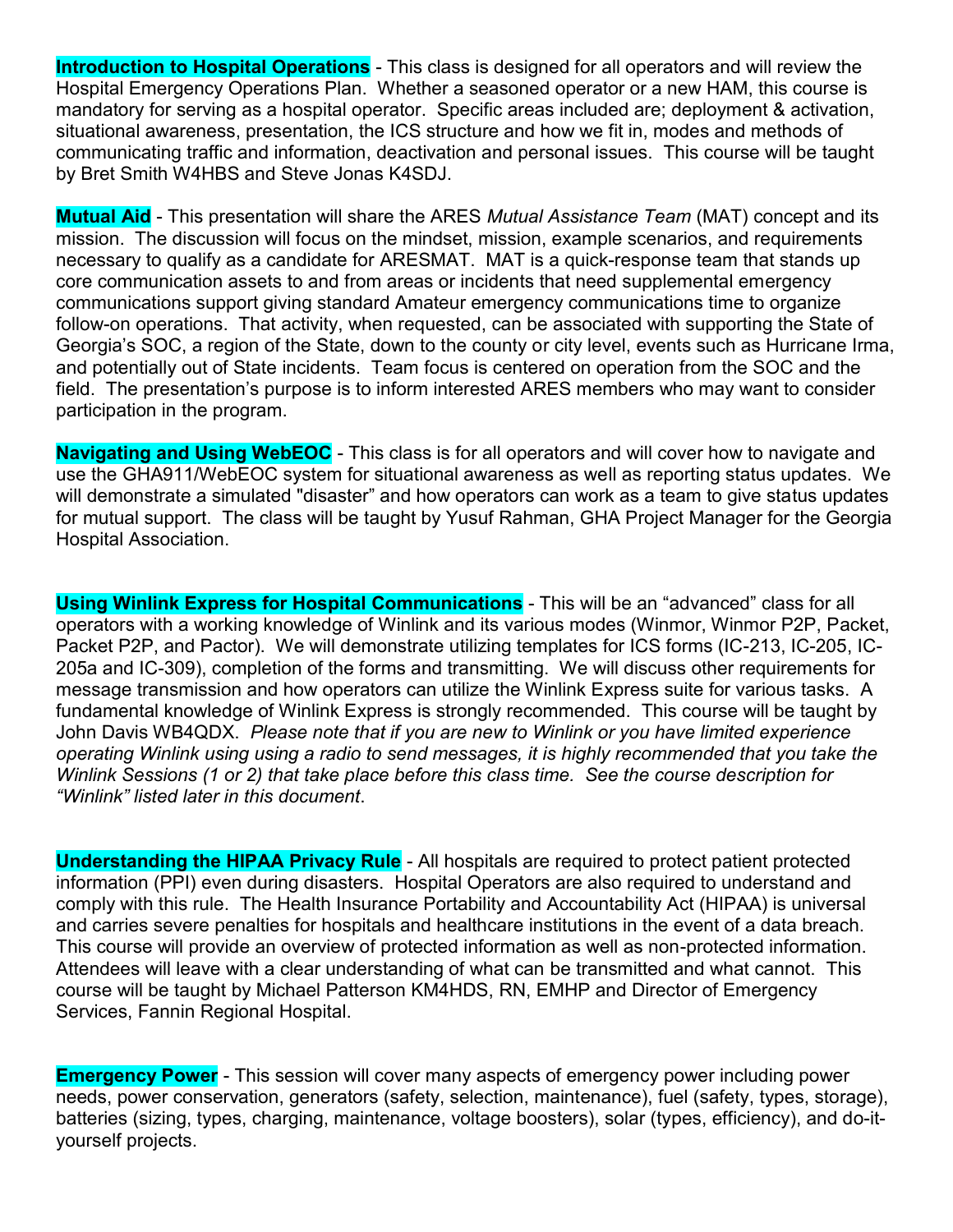**Introduction to Hospital Operations** - This class is designed for all operators and will review the Hospital Emergency Operations Plan. Whether a seasoned operator or a new HAM, this course is mandatory for serving as a hospital operator. Specific areas included are; deployment & activation, situational awareness, presentation, the ICS structure and how we fit in, modes and methods of communicating traffic and information, deactivation and personal issues. This course will be taught by Bret Smith W4HBS and Steve Jonas K4SDJ.

**Mutual Aid** - This presentation will share the ARES *Mutual Assistance Team* (MAT) concept and its mission. The discussion will focus on the mindset, mission, example scenarios, and requirements necessary to qualify as a candidate for ARESMAT. MAT is a quick-response team that stands up core communication assets to and from areas or incidents that need supplemental emergency communications support giving standard Amateur emergency communications time to organize follow-on operations. That activity, when requested, can be associated with supporting the State of Georgia's SOC, a region of the State, down to the county or city level, events such as Hurricane Irma, and potentially out of State incidents. Team focus is centered on operation from the SOC and the field. The presentation's purpose is to inform interested ARES members who may want to consider participation in the program.

**Navigating and Using WebEOC** - This class is for all operators and will cover how to navigate and use the GHA911/WebEOC system for situational awareness as well as reporting status updates. We will demonstrate a simulated "disaster" and how operators can work as a team to give status updates for mutual support. The class will be taught by Yusuf Rahman, GHA Project Manager for the Georgia Hospital Association.

**Using Winlink Express for Hospital Communications** - This will be an "advanced" class for all operators with a working knowledge of Winlink and its various modes (Winmor, Winmor P2P, Packet, Packet P2P, and Pactor). We will demonstrate utilizing templates for ICS forms (IC-213, IC-205, IC-205a and IC-309), completion of the forms and transmitting. We will discuss other requirements for message transmission and how operators can utilize the Winlink Express suite for various tasks. A fundamental knowledge of Winlink Express is strongly recommended. This course will be taught by John Davis WB4QDX. *Please note that if you are new to Winlink or you have limited experience operating Winlink using using a radio to send messages, it is highly recommended that you take the Winlink Sessions (1 or 2) that take place before this class time. See the course description for "Winlink" listed later in this document*.

**Understanding the HIPAA Privacy Rule** - All hospitals are required to protect patient protected information (PPI) even during disasters. Hospital Operators are also required to understand and comply with this rule. The Health Insurance Portability and Accountability Act (HIPAA) is universal and carries severe penalties for hospitals and healthcare institutions in the event of a data breach. This course will provide an overview of protected information as well as non-protected information. Attendees will leave with a clear understanding of what can be transmitted and what cannot. This course will be taught by Michael Patterson KM4HDS, RN, EMHP and Director of Emergency Services, Fannin Regional Hospital.

**Emergency Power** - This session will cover many aspects of emergency power including power needs, power conservation, generators (safety, selection, maintenance), fuel (safety, types, storage), batteries (sizing, types, charging, maintenance, voltage boosters), solar (types, efficiency), and do-ityourself projects.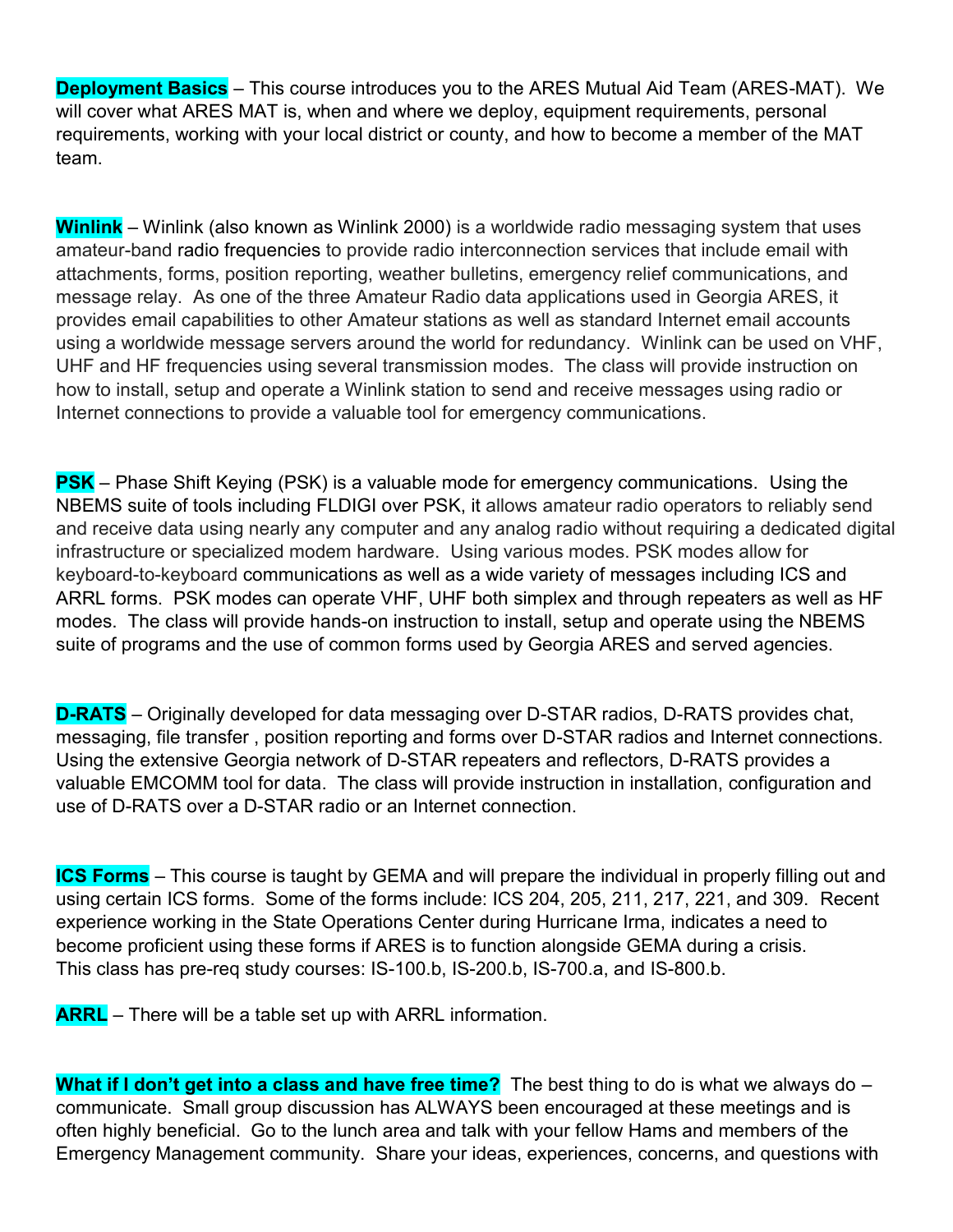**Deployment Basics** – This course introduces you to the ARES Mutual Aid Team (ARES-MAT). We will cover what ARES MAT is, when and where we deploy, equipment requirements, personal requirements, working with your local district or county, and how to become a member of the MAT team.

**Winlink** – Winlink (also known as Winlink 2000) is a worldwide radio messaging system that uses amateur-band radio frequencies to provide radio interconnection services that include email with attachments, forms, position reporting, weather bulletins, emergency relief communications, and message relay. As one of the three Amateur Radio data applications used in Georgia ARES, it provides email capabilities to other Amateur stations as well as standard Internet email accounts using a worldwide message servers around the world for redundancy. Winlink can be used on VHF, UHF and HF frequencies using several transmission modes. The class will provide instruction on how to install, setup and operate a Winlink station to send and receive messages using radio or Internet connections to provide a valuable tool for emergency communications.

**PSK** – Phase Shift Keying (PSK) is a valuable mode for emergency communications. Using the NBEMS suite of tools including FLDIGI over PSK, it allows amateur radio operators to reliably send and receive data using nearly any computer and any analog radio without requiring a dedicated digital infrastructure or specialized modem hardware. Using various modes. PSK modes allow for keyboard-to-keyboard communications as well as a wide variety of messages including ICS and ARRL forms. PSK modes can operate VHF, UHF both simplex and through repeaters as well as HF modes. The class will provide hands-on instruction to install, setup and operate using the NBEMS suite of programs and the use of common forms used by Georgia ARES and served agencies.

**D-RATS** – Originally developed for data messaging over D-STAR radios, D-RATS provides chat, messaging, file transfer , position reporting and forms over D-STAR radios and Internet connections. Using the extensive Georgia network of D-STAR repeaters and reflectors, D-RATS provides a valuable EMCOMM tool for data. The class will provide instruction in installation, configuration and use of D-RATS over a D-STAR radio or an Internet connection.

**ICS Forms** – This course is taught by GEMA and will prepare the individual in properly filling out and using certain ICS forms. Some of the forms include: ICS 204, 205, 211, 217, 221, and 309. Recent experience working in the State Operations Center during Hurricane Irma, indicates a need to become proficient using these forms if ARES is to function alongside GEMA during a crisis. This class has pre-req study courses: IS-100.b, IS-200.b, IS-700.a, and IS-800.b.

**ARRL** – There will be a table set up with ARRL information.

**What if I don't get into a class and have free time?** The best thing to do is what we always do – communicate. Small group discussion has ALWAYS been encouraged at these meetings and is often highly beneficial. Go to the lunch area and talk with your fellow Hams and members of the Emergency Management community. Share your ideas, experiences, concerns, and questions with